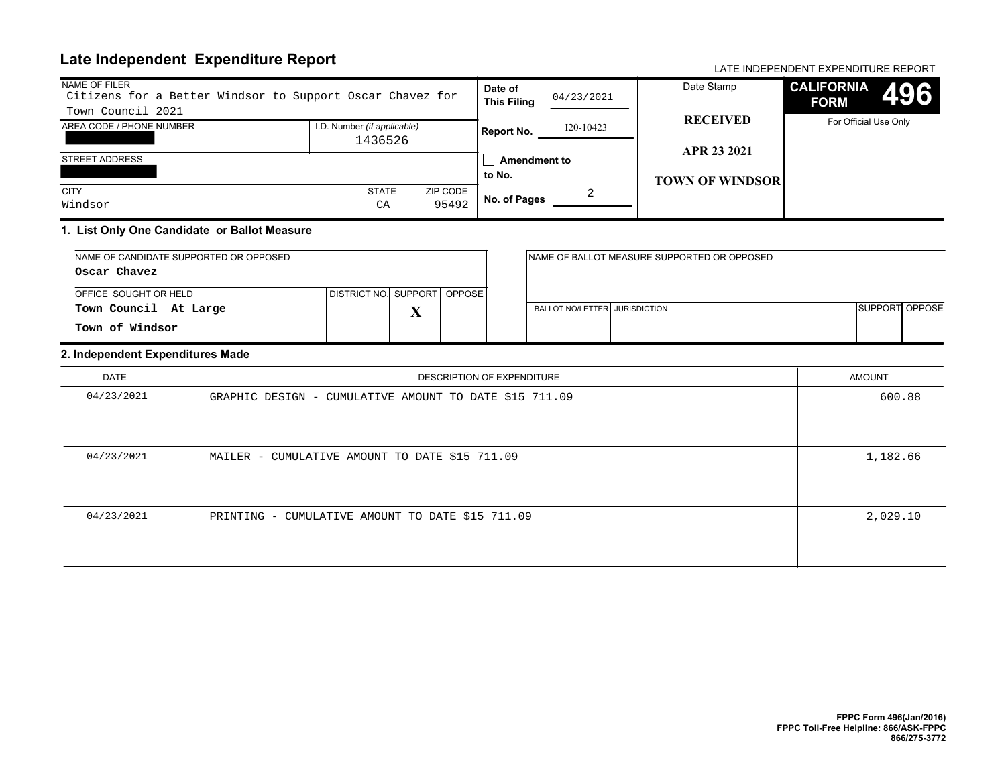# **Late Independent Expenditure Report** And Account 2001 12 and 2001 12 and 2007 12 and 2008 12 and 2008 12 and 200

| NAME OF FILER<br>Citizens for a Better Windsor to Support Oscar Chavez for |                             |          | Date of<br>04/23/2021<br><b>This Filing</b> |           | Date Stamp             | <b>CALIFORNIA</b><br>496<br><b>FORM</b> |
|----------------------------------------------------------------------------|-----------------------------|----------|---------------------------------------------|-----------|------------------------|-----------------------------------------|
| Town Council 2021                                                          |                             |          |                                             |           | <b>RECEIVED</b>        |                                         |
| AREA CODE / PHONE NUMBER                                                   | I.D. Number (if applicable) |          | Report No.                                  | I20-10423 |                        | For Official Use Only                   |
|                                                                            | 1436526                     |          |                                             |           | APR 23 2021            |                                         |
| STREET ADDRESS                                                             |                             |          | Amendment to                                |           |                        |                                         |
|                                                                            |                             |          | to No.                                      |           | <b>TOWN OF WINDSOR</b> |                                         |
| <b>CITY</b>                                                                | <b>STATE</b>                | ZIP CODE |                                             |           |                        |                                         |
| Windsor                                                                    | C A                         | 95492    | No. of Pages                                |           |                        |                                         |

#### **1. List Only One Candidate or Ballot Measure**

| NAME OF CANDIDATE SUPPORTED OR OPPOSED |                               |   |  |                               | INAME OF BALLOT MEASURE SUPPORTED OR OPPOSED |                |  |
|----------------------------------------|-------------------------------|---|--|-------------------------------|----------------------------------------------|----------------|--|
| Oscar Chavez                           |                               |   |  |                               |                                              |                |  |
| OFFICE SOUGHT OR HELD                  | DISTRICT NO. SUPPORT   OPPOSE |   |  |                               |                                              |                |  |
| Town Council At Large                  |                               | Δ |  | BALLOT NO/LETTER JURISDICTION |                                              | SUPPORT OPPOSE |  |
| Town of Windsor                        |                               |   |  |                               |                                              |                |  |

#### **2. Independent Expenditures Made**

| DATE       | DESCRIPTION OF EXPENDITURE                             | <b>AMOUNT</b> |
|------------|--------------------------------------------------------|---------------|
| 04/23/2021 | GRAPHIC DESIGN - CUMULATIVE AMOUNT TO DATE \$15 711.09 | 600.88        |
| 04/23/2021 | MAILER - CUMULATIVE AMOUNT TO DATE \$15 711.09         | 1,182.66      |
| 04/23/2021 | PRINTING - CUMULATIVE AMOUNT TO DATE \$15 711.09       | 2,029.10      |